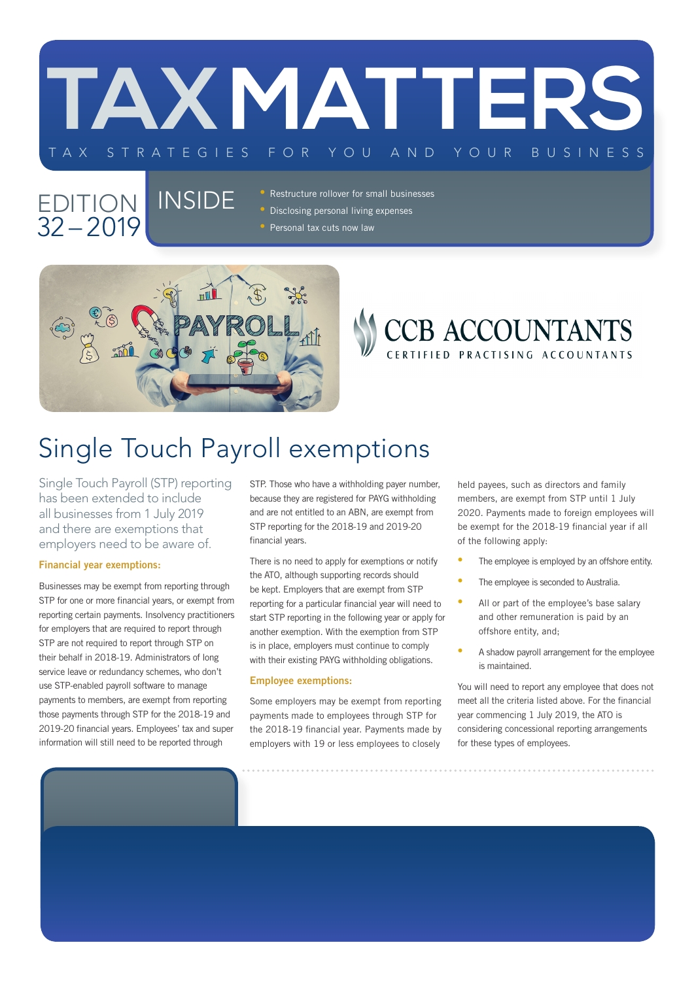

### EDITION | INSIDE 32 – 2019

• Restructure rollover for small businesses • Disclosing personal living expenses • Personal tax cuts now law



### CCB ACCOUNTANTS CERTIFIED PRACTISING ACCOUNTANTS

# Single Touch Payroll exemptions

Single Touch Payroll (STP) reporting has been extended to include all businesses from 1 July 2019 and there are exemptions that employers need to be aware of.

#### Financial year exemptions:

Businesses may be exempt from reporting through STP for one or more financial years, or exempt from reporting certain payments. Insolvency practitioners for employers that are required to report through STP are not required to report through STP on their behalf in 2018-19. Administrators of long service leave or redundancy schemes, who don't use STP-enabled payroll software to manage payments to members, are exempt from reporting those payments through STP for the 2018-19 and 2019-20 financial years. Employees' tax and super information will still need to be reported through

STP. Those who have a withholding payer number, because they are registered for PAYG withholding and are not entitled to an ABN, are exempt from STP reporting for the 2018-19 and 2019-20 financial years.

There is no need to apply for exemptions or notify the ATO, although supporting records should be kept. Employers that are exempt from STP reporting for a particular financial year will need to start STP reporting in the following year or apply for another exemption. With the exemption from STP is in place, employers must continue to comply with their existing PAYG withholding obligations.

#### Employee exemptions:

Some employers may be exempt from reporting payments made to employees through STP for the 2018-19 financial year. Payments made by employers with 19 or less employees to closely

held payees, such as directors and family members, are exempt from STP until 1 July 2020. Payments made to foreign employees will be exempt for the 2018-19 financial year if all of the following apply:

- The employee is employed by an offshore entity.
- The employee is seconded to Australia.
- All or part of the employee's base salary and other remuneration is paid by an offshore entity, and;
- A shadow payroll arrangement for the employee is maintained.

You will need to report any employee that does not meet all the criteria listed above. For the financial year commencing 1 July 2019, the ATO is considering concessional reporting arrangements for these types of employees.